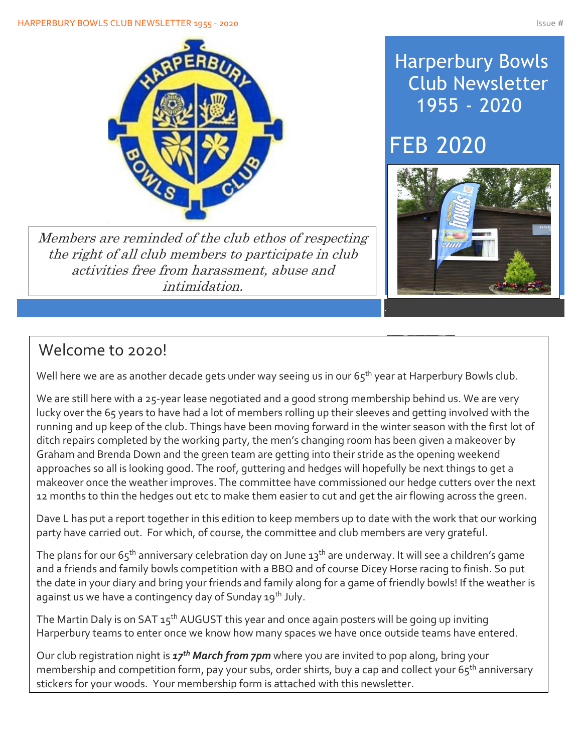

Members are reminded of the club ethos of respecting the right of all club members to participate in club activities free from harassment, abuse and intimidation.

# Harperbury Bowls Club Newsletter 1955 - 2020

# **FEB 2020**



# Welcome to 2020!

Well here we are as another decade gets under way seeing us in our  $65<sup>th</sup>$  year at Harperbury Bowls club.

12 months to thin the hedges out etc to make them easier to cut and get the air flowing across the green.<br> We are still here with a 25-year lease negotiated and a good strong membership behind us. We are very lucky over the 65 years to have had a lot of members rolling up their sleeves and getting involved with the running and up keep of the club. Things have been moving forward in the winter season with the first lot of ditch repairs completed by the working party, the men's changing room has been given a makeover by Graham and Brenda Down and the green team are getting into their stride as the opening weekend approaches so all is looking good. The roof, guttering and hedges will hopefully be next things to get a makeover once the weather improves. The committee have commissioned our hedge cutters over the next

 $\frac{1}{2}$ ncin this adition to Dave L has put a report together in this edition to keep members up to date with the work that our working party have carried out. For which, of course, the committee and club members are very grateful.

The plans for our  $65<sup>th</sup>$  anniversary celebration day on June  $13<sup>th</sup>$  are underway. It will see a children's game and a friends and family bowls competition with a BBQ and of course Dicey Horse racing to finish. So put the date in your diary and bring your friends and family along for a game of friendly bowls! If the weather is against us we have a contingency day of Sunday 19<sup>th</sup> July.

The Martin Daly is on SAT  $15<sup>th</sup>$  AUGUST this year and once again posters will be going up inviting Harperbury teams to enter once we know how many spaces we have once outside teams have entered.

Our club registration night is *17th March from 7pm* where you are invited to pop along, bring your membership and competition form, pay your subs, order shirts, buy a cap and collect your 65<sup>th</sup> anniversary stickers for your woods. Your membership form is attached with this newsletter.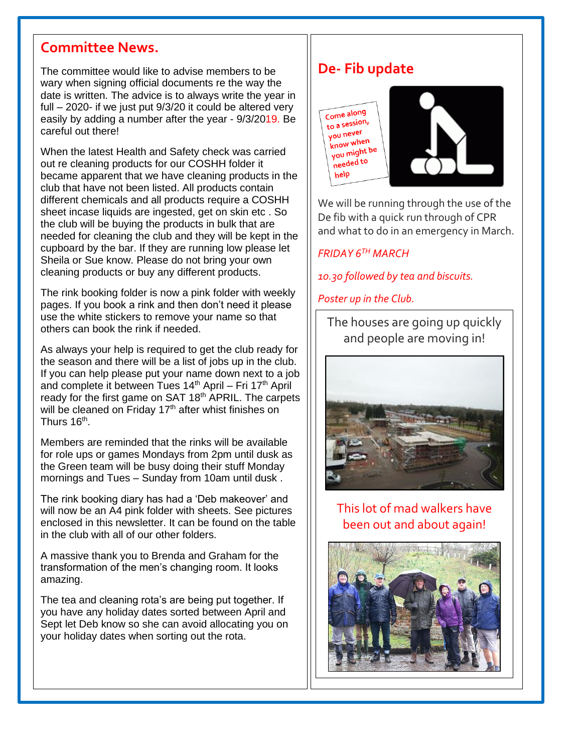## **Committee News.**

The committee would like to advise members to be wary when signing official documents re the way the date is written. The advice is to always write the year in full – 2020- if we just put 9/3/20 it could be altered very easily by adding a number after the year - 9/3/2019. Be careful out there!

When the latest Health and Safety check was carried out re cleaning products for our COSHH folder it became apparent that we have cleaning products in the club that have not been listed. All products contain different chemicals and all products require a COSHH sheet incase liquids are ingested, get on skin etc . So the club will be buying the products in bulk that are needed for cleaning the club and they will be kept in the cupboard by the bar. If they are running low please let Sheila or Sue know. Please do not bring your own cleaning products or buy any different products.

The rink booking folder is now a pink folder with weekly pages. If you book a rink and then don't need it please use the white stickers to remove your name so that others can book the rink if needed.

As always your help is required to get the club ready for the season and there will be a list of jobs up in the club. If you can help please put your name down next to a job and complete it between Tues  $14<sup>th</sup>$  April – Fri  $17<sup>th</sup>$  April ready for the first game on SAT 18<sup>th</sup> APRIL. The carpets will be cleaned on Friday  $17<sup>th</sup>$  after whist finishes on Thurs 16<sup>th</sup>.

Members are reminded that the rinks will be available for role ups or games Mondays from 2pm until dusk as the Green team will be busy doing their stuff Monday mornings and Tues – Sunday from 10am until dusk .

The rink booking diary has had a 'Deb makeover' and will now be an A4 pink folder with sheets. See pictures enclosed in this newsletter. It can be found on the table in the club with all of our other folders.

A massive thank you to Brenda and Graham for the transformation of the men's changing room. It looks amazing.

The tea and cleaning rota's are being put together. If you have any holiday dates sorted between April and Sept let Deb know so she can avoid allocating you on your holiday dates when sorting out the rota.

 $\overline{a}$ 

# **De- Fib update**



We will be running through the use of the De fib with a quick run through of CPR and what to do in an emergency in March.

*FRIDAY 6TH MARCH*

*10.30 followed by tea and biscuits.*

*Poster up in the Club.*

The houses are going up quickly and people are moving in!



### This lot of mad walkers have been out and about again!

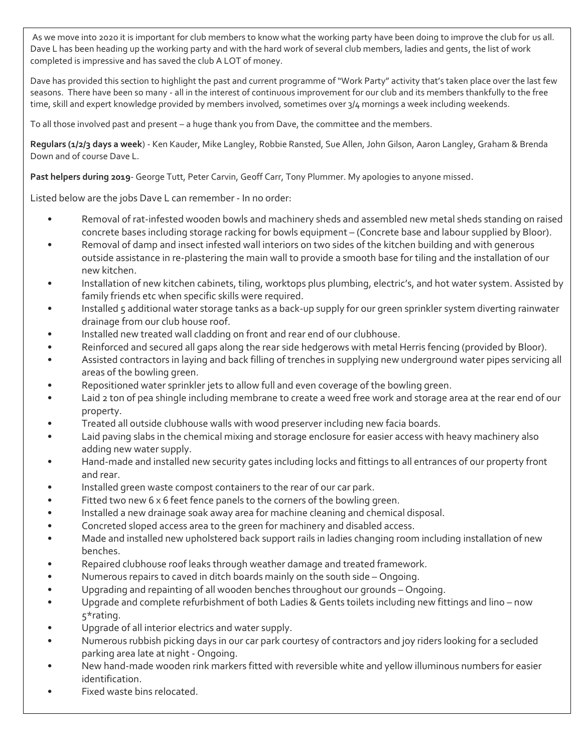As we move into 2020 it is important for club members to know what the working party have been doing to improve the club for us all. Dave L has been heading up the working party and with the hard work of several club members, ladies and gents, the list of work completed is impressive and has saved the club A LOT of money.

Dave has provided this section to highlight the past and current programme of "Work Party" activity that's taken place over the last few seasons. There have been so many - all in the interest of continuous improvement for our club and its members thankfully to the free time, skill and expert knowledge provided by members involved, sometimes over 3/4 mornings a week including weekends.

To all those involved past and present – a huge thank you from Dave, the committee and the members.

**Regulars (1/2/3 days a week**) - Ken Kauder, Mike Langley, Robbie Ransted, Sue Allen, John Gilson, Aaron Langley, Graham & Brenda Down and of course Dave L.

**Past helpers during 2019**- George Tutt, Peter Carvin, Geoff Carr, Tony Plummer. My apologies to anyone missed.

Listed below are the jobs Dave L can remember - In no order:

- Removal of rat-infested wooden bowls and machinery sheds and assembled new metal sheds standing on raised concrete bases including storage racking for bowls equipment – (Concrete base and labour supplied by Bloor).
- Removal of damp and insect infested wall interiors on two sides of the kitchen building and with generous outside assistance in re-plastering the main wall to provide a smooth base for tiling and the installation of our new kitchen.
- Installation of new kitchen cabinets, tiling, worktops plus plumbing, electric's, and hot water system. Assisted by family friends etc when specific skills were required.
- Installed 5 additional water storage tanks as a back-up supply for our green sprinkler system diverting rainwater drainage from our club house roof.
- Installed new treated wall cladding on front and rear end of our clubhouse.
- Reinforced and secured all gaps along the rear side hedgerows with metal Herris fencing (provided by Bloor).
- Assisted contractors in laying and back filling of trenches in supplying new underground water pipes servicing all areas of the bowling green.
- Repositioned water sprinkler jets to allow full and even coverage of the bowling green.
- Laid 2 ton of pea shingle including membrane to create a weed free work and storage area at the rear end of our property.
- Treated all outside clubhouse walls with wood preserver including new facia boards.
- Laid paving slabs in the chemical mixing and storage enclosure for easier access with heavy machinery also adding new water supply.
- Hand-made and installed new security gates including locks and fittings to all entrances of our property front and rear.
- Installed green waste compost containers to the rear of our car park.
- Fitted two new 6  $\times$  6 feet fence panels to the corners of the bowling green.
- Installed a new drainage soak away area for machine cleaning and chemical disposal.
- Concreted sloped access area to the green for machinery and disabled access.
- Made and installed new upholstered back support rails in ladies changing room including installation of new benches.
- Repaired clubhouse roof leaks through weather damage and treated framework.
- Numerous repairs to caved in ditch boards mainly on the south side Ongoing.
- Upgrading and repainting of all wooden benches throughout our grounds Ongoing.
- Upgrade and complete refurbishment of both Ladies & Gents toilets including new fittings and lino now 5\*rating.
- Upgrade of all interior electrics and water supply.
- Numerous rubbish picking days in our car park courtesy of contractors and joy riders looking for a secluded parking area late at night - Ongoing.
- New hand-made wooden rink markers fitted with reversible white and yellow illuminous numbers for easier identification.
- Fixed waste bins relocated.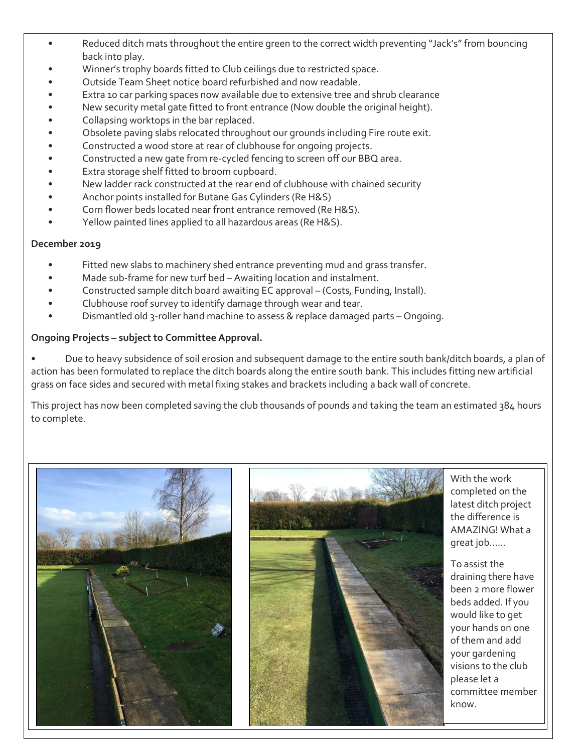- Reduced ditch mats throughout the entire green to the correct width preventing "Jack's" from bouncing back into play.
- Winner's trophy boards fitted to Club ceilings due to restricted space.
- Outside Team Sheet notice board refurbished and now readable.
- Extra 10 car parking spaces now available due to extensive tree and shrub clearance
- New security metal gate fitted to front entrance (Now double the original height).
- Collapsing worktops in the bar replaced.
- Obsolete paving slabs relocated throughout our grounds including Fire route exit.
- Constructed a wood store at rear of clubhouse for ongoing projects.
- Constructed a new gate from re-cycled fencing to screen off our BBQ area.
- Extra storage shelf fitted to broom cupboard.
- New ladder rack constructed at the rear end of clubhouse with chained security
- Anchor points installed for Butane Gas Cylinders (Re H&S)
- Corn flower beds located near front entrance removed (Re H&S).
- Yellow painted lines applied to all hazardous areas (Re H&S).

#### **December 2019**

- Fitted new slabs to machinery shed entrance preventing mud and grass transfer.
- Made sub-frame for new turf bed Awaiting location and instalment.
- Constructed sample ditch board awaiting EC approval (Costs, Funding, Install).
- Clubhouse roof survey to identify damage through wear and tear.
- Dismantled old 3-roller hand machine to assess & replace damaged parts Ongoing.

#### **Ongoing Projects – subject to Committee Approval.**

• Due to heavy subsidence of soil erosion and subsequent damage to the entire south bank/ditch boards, a plan of action has been formulated to replace the ditch boards along the entire south bank. This includes fitting new artificial grass on face sides and secured with metal fixing stakes and brackets including a back wall of concrete.

This project has now been completed saving the club thousands of pounds and taking the team an estimated 384 hours to complete.



With the work completed on the latest ditch project the difference is AMAZING! What a great job……

To assist the draining there have been 2 more flower beds added. If you would like to get your hands on one of them and add your gardening visions to the club please let a committee member know.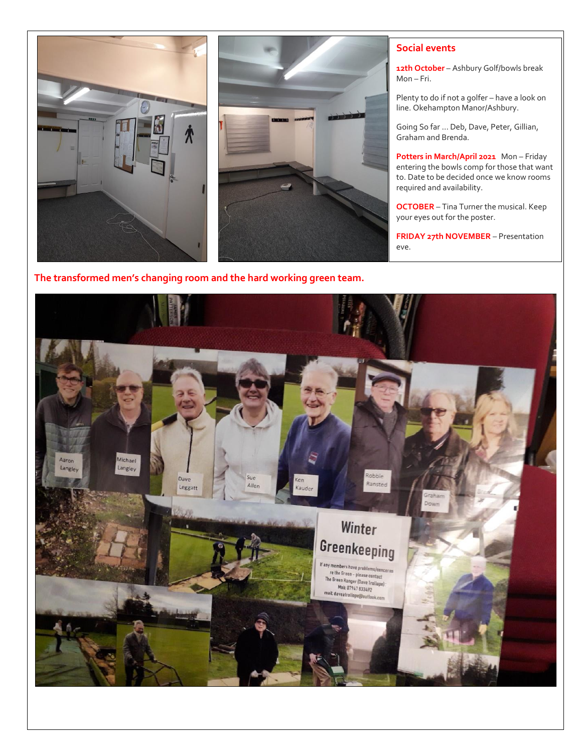

#### **Social events**

**12th October** – Ashbury Golf/bowls break Mon – Fri.

Plenty to do if not a golfer – have a look on line. Okehampton Manor/Ashbury.

Going So far … Deb, Dave, Peter, Gillian, Graham and Brenda.

**Potters in March/April 2021** Mon – Friday entering the bowls comp for those that want to. Date to be decided once we know rooms required and availability.

**OCTOBER** – Tina Turner the musical. Keep your eyes out for the poster.

**FRIDAY 27th NOVEMBER** – Presentation eve.



#### **The transformed men's changing room and the hard working green team.**

 $\overline{a}$